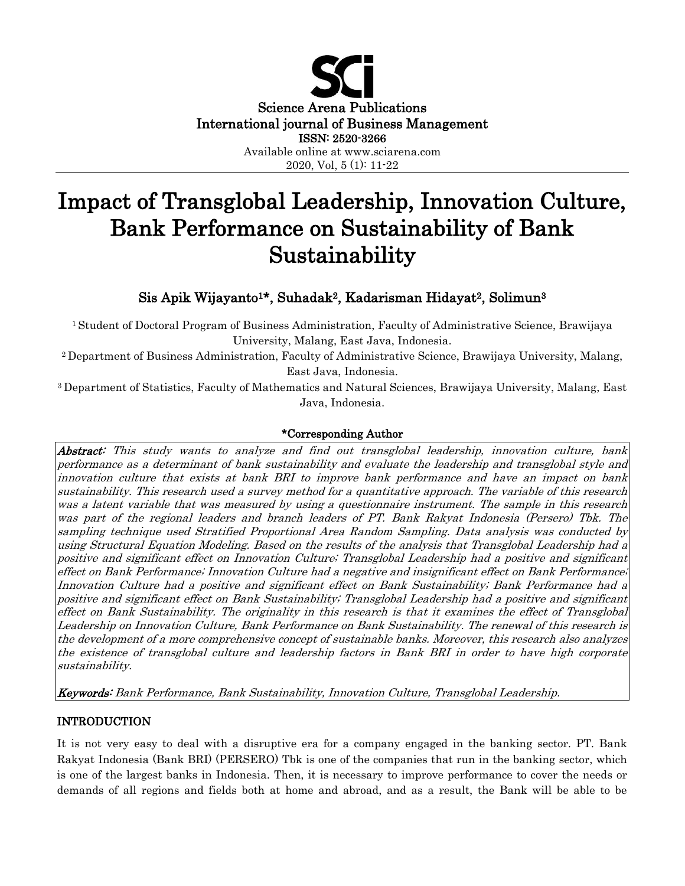

# Impact of Transglobal Leadership, Innovation Culture, Bank Performance on Sustainability of Bank Sustainability

## Sis Apik Wijayanto1\*, Suhadak2, Kadarisman Hidayat2, Solimun<sup>3</sup>

<sup>1</sup>Student of Doctoral Program of Business Administration, Faculty of Administrative Science, Brawijaya University, Malang, East Java, Indonesia.

<sup>2</sup>Department of Business Administration, Faculty of Administrative Science, Brawijaya University, Malang, East Java, Indonesia.

<sup>3</sup>Department of Statistics, Faculty of Mathematics and Natural Sciences, Brawijaya University, Malang, East Java, Indonesia.

## \*Corresponding Author

Abstract: This study wants to analyze and find out transglobal leadership, innovation culture, bank performance as a determinant of bank sustainability and evaluate the leadership and transglobal style and innovation culture that exists at bank BRI to improve bank performance and have an impact on bank sustainability. This research used a survey method for a quantitative approach. The variable of this research was a latent variable that was measured by using a questionnaire instrument. The sample in this research was part of the regional leaders and branch leaders of PT. Bank Rakyat Indonesia (Persero) Tbk. The sampling technique used Stratified Proportional Area Random Sampling. Data analysis was conducted by using Structural Equation Modeling. Based on the results of the analysis that Transglobal Leadership had a positive and significant effect on Innovation Culture; Transglobal Leadership had a positive and significant effect on Bank Performance; Innovation Culture had a negative and insignificant effect on Bank Performance; Innovation Culture had a positive and significant effect on Bank Sustainability; Bank Performance had a positive and significant effect on Bank Sustainability; Transglobal Leadership had a positive and significant effect on Bank Sustainability. The originality in this research is that it examines the effect of Transglobal Leadership on Innovation Culture, Bank Performance on Bank Sustainability. The renewal of this research is the development of a more comprehensive concept of sustainable banks. Moreover, this research also analyzes the existence of transglobal culture and leadership factors in Bank BRI in order to have high corporate sustainability.

Keywords: Bank Performance, Bank Sustainability, Innovation Culture, Transglobal Leadership.

## INTRODUCTION

It is not very easy to deal with a disruptive era for a company engaged in the banking sector. PT. Bank Rakyat Indonesia (Bank BRI) (PERSERO) Tbk is one of the companies that run in the banking sector, which is one of the largest banks in Indonesia. Then, it is necessary to improve performance to cover the needs or demands of all regions and fields both at home and abroad, and as a result, the Bank will be able to be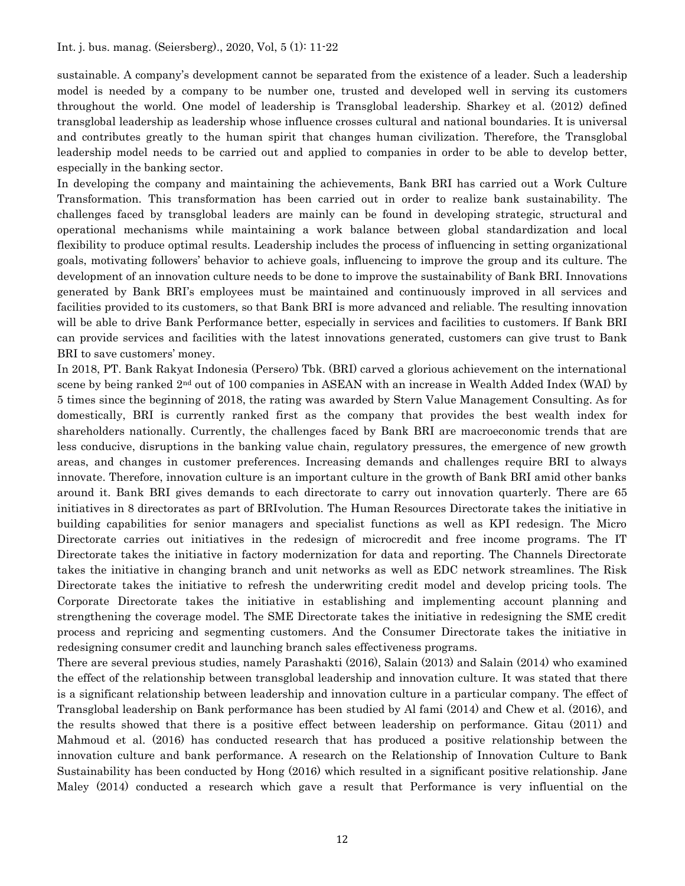sustainable. A company's development cannot be separated from the existence of a leader. Such a leadership model is needed by a company to be number one, trusted and developed well in serving its customers throughout the world. One model of leadership is Transglobal leadership. Sharkey et al. (2012) defined transglobal leadership as leadership whose influence crosses cultural and national boundaries. It is universal and contributes greatly to the human spirit that changes human civilization. Therefore, the Transglobal leadership model needs to be carried out and applied to companies in order to be able to develop better, especially in the banking sector.

In developing the company and maintaining the achievements, Bank BRI has carried out a Work Culture Transformation. This transformation has been carried out in order to realize bank sustainability. The challenges faced by transglobal leaders are mainly can be found in developing strategic, structural and operational mechanisms while maintaining a work balance between global standardization and local flexibility to produce optimal results. Leadership includes the process of influencing in setting organizational goals, motivating followers' behavior to achieve goals, influencing to improve the group and its culture. The development of an innovation culture needs to be done to improve the sustainability of Bank BRI. Innovations generated by Bank BRI's employees must be maintained and continuously improved in all services and facilities provided to its customers, so that Bank BRI is more advanced and reliable. The resulting innovation will be able to drive Bank Performance better, especially in services and facilities to customers. If Bank BRI can provide services and facilities with the latest innovations generated, customers can give trust to Bank BRI to save customers' money.

In 2018, PT. Bank Rakyat Indonesia (Persero) Tbk. (BRI) carved a glorious achievement on the international scene by being ranked 2<sup>nd</sup> out of 100 companies in ASEAN with an increase in Wealth Added Index (WAI) by 5 times since the beginning of 2018, the rating was awarded by Stern Value Management Consulting. As for domestically, BRI is currently ranked first as the company that provides the best wealth index for shareholders nationally. Currently, the challenges faced by Bank BRI are macroeconomic trends that are less conducive, disruptions in the banking value chain, regulatory pressures, the emergence of new growth areas, and changes in customer preferences. Increasing demands and challenges require BRI to always innovate. Therefore, innovation culture is an important culture in the growth of Bank BRI amid other banks around it. Bank BRI gives demands to each directorate to carry out innovation quarterly. There are 65 initiatives in 8 directorates as part of BRIvolution. The Human Resources Directorate takes the initiative in building capabilities for senior managers and specialist functions as well as KPI redesign. The Micro Directorate carries out initiatives in the redesign of microcredit and free income programs. The IT Directorate takes the initiative in factory modernization for data and reporting. The Channels Directorate takes the initiative in changing branch and unit networks as well as EDC network streamlines. The Risk Directorate takes the initiative to refresh the underwriting credit model and develop pricing tools. The Corporate Directorate takes the initiative in establishing and implementing account planning and strengthening the coverage model. The SME Directorate takes the initiative in redesigning the SME credit process and repricing and segmenting customers. And the Consumer Directorate takes the initiative in redesigning consumer credit and launching branch sales effectiveness programs.

There are several previous studies, namely Parashakti (2016), Salain (2013) and Salain (2014) who examined the effect of the relationship between transglobal leadership and innovation culture. It was stated that there is a significant relationship between leadership and innovation culture in a particular company. The effect of Transglobal leadership on Bank performance has been studied by Al fami (2014) and Chew et al. (2016), and the results showed that there is a positive effect between leadership on performance. Gitau (2011) and Mahmoud et al. (2016) has conducted research that has produced a positive relationship between the innovation culture and bank performance. A research on the Relationship of Innovation Culture to Bank Sustainability has been conducted by Hong (2016) which resulted in a significant positive relationship. Jane Maley (2014) conducted a research which gave a result that Performance is very influential on the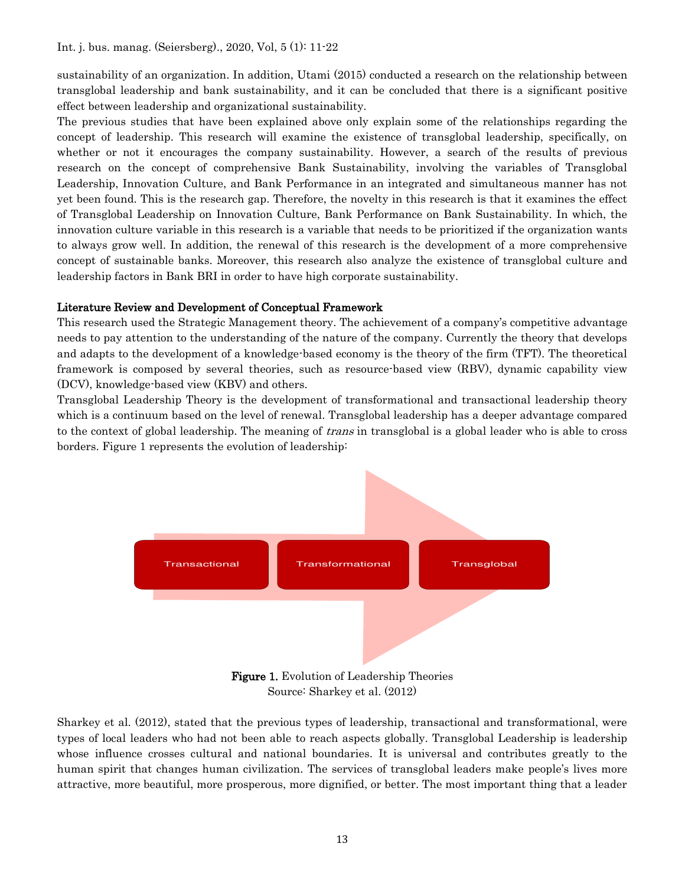sustainability of an organization. In addition, Utami (2015) conducted a research on the relationship between transglobal leadership and bank sustainability, and it can be concluded that there is a significant positive effect between leadership and organizational sustainability.

The previous studies that have been explained above only explain some of the relationships regarding the concept of leadership. This research will examine the existence of transglobal leadership, specifically, on whether or not it encourages the company sustainability. However, a search of the results of previous research on the concept of comprehensive Bank Sustainability, involving the variables of Transglobal Leadership, Innovation Culture, and Bank Performance in an integrated and simultaneous manner has not yet been found. This is the research gap. Therefore, the novelty in this research is that it examines the effect of Transglobal Leadership on Innovation Culture, Bank Performance on Bank Sustainability. In which, the innovation culture variable in this research is a variable that needs to be prioritized if the organization wants to always grow well. In addition, the renewal of this research is the development of a more comprehensive concept of sustainable banks. Moreover, this research also analyze the existence of transglobal culture and leadership factors in Bank BRI in order to have high corporate sustainability.

## Literature Review and Development of Conceptual Framework

This research used the Strategic Management theory. The achievement of a company's competitive advantage needs to pay attention to the understanding of the nature of the company. Currently the theory that develops and adapts to the development of a knowledge-based economy is the theory of the firm (TFT). The theoretical framework is composed by several theories, such as resource-based view (RBV), dynamic capability view (DCV), knowledge-based view (KBV) and others.

Transglobal Leadership Theory is the development of transformational and transactional leadership theory which is a continuum based on the level of renewal. Transglobal leadership has a deeper advantage compared to the context of global leadership. The meaning of *trans* in transglobal is a global leader who is able to cross borders. Figure 1 represents the evolution of leadership:



Source: Sharkey et al. (2012)

Sharkey et al. (2012), stated that the previous types of leadership, transactional and transformational, were types of local leaders who had not been able to reach aspects globally. Transglobal Leadership is leadership whose influence crosses cultural and national boundaries. It is universal and contributes greatly to the human spirit that changes human civilization. The services of transglobal leaders make people's lives more attractive, more beautiful, more prosperous, more dignified, or better. The most important thing that a leader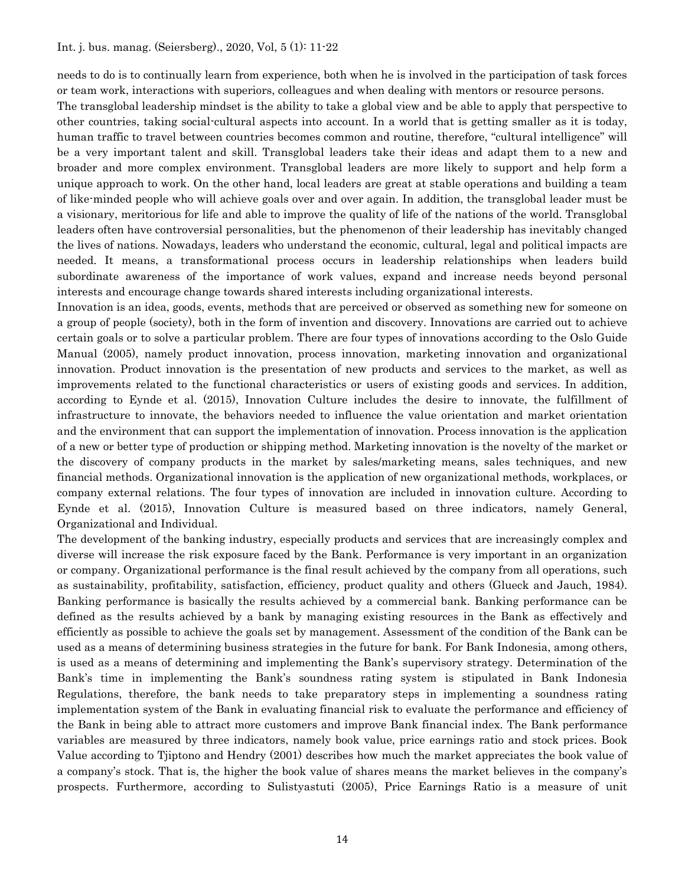needs to do is to continually learn from experience, both when he is involved in the participation of task forces or team work, interactions with superiors, colleagues and when dealing with mentors or resource persons.

The transglobal leadership mindset is the ability to take a global view and be able to apply that perspective to other countries, taking social-cultural aspects into account. In a world that is getting smaller as it is today, human traffic to travel between countries becomes common and routine, therefore, "cultural intelligence" will be a very important talent and skill. Transglobal leaders take their ideas and adapt them to a new and broader and more complex environment. Transglobal leaders are more likely to support and help form a unique approach to work. On the other hand, local leaders are great at stable operations and building a team of like-minded people who will achieve goals over and over again. In addition, the transglobal leader must be a visionary, meritorious for life and able to improve the quality of life of the nations of the world. Transglobal leaders often have controversial personalities, but the phenomenon of their leadership has inevitably changed the lives of nations. Nowadays, leaders who understand the economic, cultural, legal and political impacts are needed. It means, a transformational process occurs in leadership relationships when leaders build subordinate awareness of the importance of work values, expand and increase needs beyond personal interests and encourage change towards shared interests including organizational interests.

Innovation is an idea, goods, events, methods that are perceived or observed as something new for someone on a group of people (society), both in the form of invention and discovery. Innovations are carried out to achieve certain goals or to solve a particular problem. There are four types of innovations according to the Oslo Guide Manual (2005), namely product innovation, process innovation, marketing innovation and organizational innovation. Product innovation is the presentation of new products and services to the market, as well as improvements related to the functional characteristics or users of existing goods and services. In addition, according to Eynde et al. (2015), Innovation Culture includes the desire to innovate, the fulfillment of infrastructure to innovate, the behaviors needed to influence the value orientation and market orientation and the environment that can support the implementation of innovation. Process innovation is the application of a new or better type of production or shipping method. Marketing innovation is the novelty of the market or the discovery of company products in the market by sales/marketing means, sales techniques, and new financial methods. Organizational innovation is the application of new organizational methods, workplaces, or company external relations. The four types of innovation are included in innovation culture. According to Eynde et al. (2015), Innovation Culture is measured based on three indicators, namely General, Organizational and Individual.

The development of the banking industry, especially products and services that are increasingly complex and diverse will increase the risk exposure faced by the Bank. Performance is very important in an organization or company. Organizational performance is the final result achieved by the company from all operations, such as sustainability, profitability, satisfaction, efficiency, product quality and others (Glueck and Jauch, 1984). Banking performance is basically the results achieved by a commercial bank. Banking performance can be defined as the results achieved by a bank by managing existing resources in the Bank as effectively and efficiently as possible to achieve the goals set by management. Assessment of the condition of the Bank can be used as a means of determining business strategies in the future for bank. For Bank Indonesia, among others, is used as a means of determining and implementing the Bank's supervisory strategy. Determination of the Bank's time in implementing the Bank's soundness rating system is stipulated in Bank Indonesia Regulations, therefore, the bank needs to take preparatory steps in implementing a soundness rating implementation system of the Bank in evaluating financial risk to evaluate the performance and efficiency of the Bank in being able to attract more customers and improve Bank financial index. The Bank performance variables are measured by three indicators, namely book value, price earnings ratio and stock prices. Book Value according to Tjiptono and Hendry (2001) describes how much the market appreciates the book value of a company's stock. That is, the higher the book value of shares means the market believes in the company's prospects. Furthermore, according to Sulistyastuti (2005), Price Earnings Ratio is a measure of unit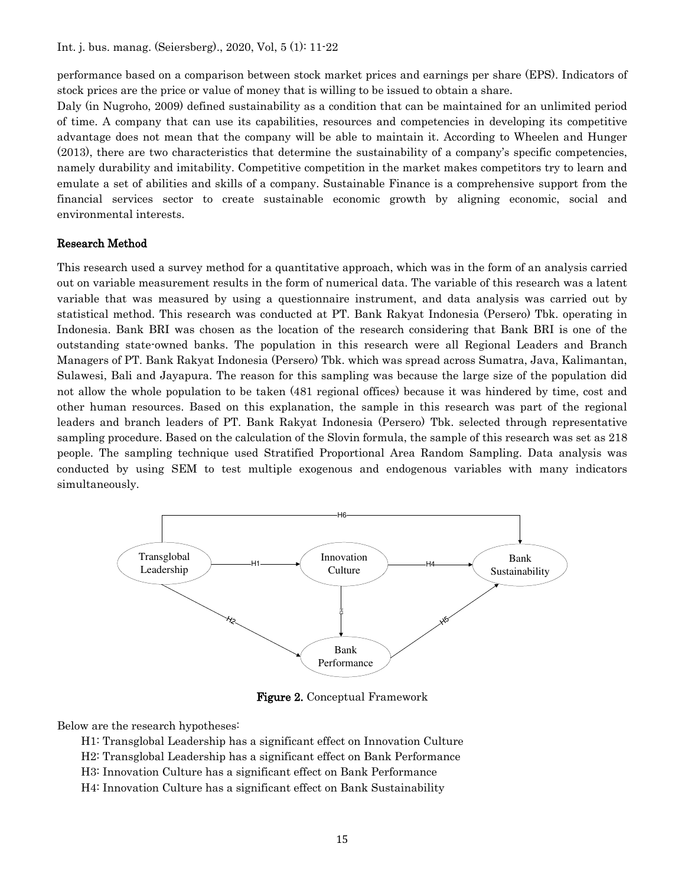performance based on a comparison between stock market prices and earnings per share (EPS). Indicators of stock prices are the price or value of money that is willing to be issued to obtain a share.

Daly (in Nugroho, 2009) defined sustainability as a condition that can be maintained for an unlimited period of time. A company that can use its capabilities, resources and competencies in developing its competitive advantage does not mean that the company will be able to maintain it. According to Wheelen and Hunger (2013), there are two characteristics that determine the sustainability of a company's specific competencies, namely durability and imitability. Competitive competition in the market makes competitors try to learn and emulate a set of abilities and skills of a company. Sustainable Finance is a comprehensive support from the financial services sector to create sustainable economic growth by aligning economic, social and environmental interests.

## Research Method

This research used a survey method for a quantitative approach, which was in the form of an analysis carried out on variable measurement results in the form of numerical data. The variable of this research was a latent variable that was measured by using a questionnaire instrument, and data analysis was carried out by statistical method. This research was conducted at PT. Bank Rakyat Indonesia (Persero) Tbk. operating in Indonesia. Bank BRI was chosen as the location of the research considering that Bank BRI is one of the outstanding state-owned banks. The population in this research were all Regional Leaders and Branch Managers of PT. Bank Rakyat Indonesia (Persero) Tbk. which was spread across Sumatra, Java, Kalimantan, Sulawesi, Bali and Jayapura. The reason for this sampling was because the large size of the population did not allow the whole population to be taken (481 regional offices) because it was hindered by time, cost and other human resources. Based on this explanation, the sample in this research was part of the regional leaders and branch leaders of PT. Bank Rakyat Indonesia (Persero) Tbk. selected through representative sampling procedure. Based on the calculation of the Slovin formula, the sample of this research was set as 218 people. The sampling technique used Stratified Proportional Area Random Sampling. Data analysis was conducted by using SEM to test multiple exogenous and endogenous variables with many indicators simultaneously.



Figure 2. Conceptual Framework

Below are the research hypotheses:

H1: Transglobal Leadership has a significant effect on Innovation Culture

H2: Transglobal Leadership has a significant effect on Bank Performance

- H3: Innovation Culture has a significant effect on Bank Performance
- H4: Innovation Culture has a significant effect on Bank Sustainability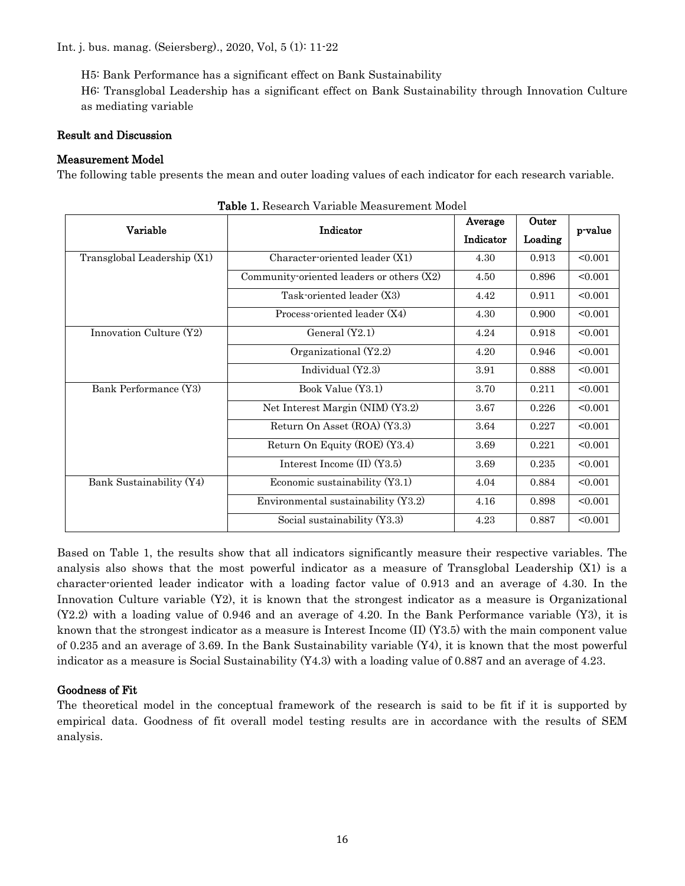H5: Bank Performance has a significant effect on Bank Sustainability

H6: Transglobal Leadership has a significant effect on Bank Sustainability through Innovation Culture as mediating variable

## Result and Discussion

## Measurement Model

The following table presents the mean and outer loading values of each indicator for each research variable.

| Variable                    | Indicator                                 | Average   | Outer       | p-value |  |
|-----------------------------|-------------------------------------------|-----------|-------------|---------|--|
|                             |                                           | Indicator | Loading     |         |  |
| Transglobal Leadership (X1) | Character-oriented leader (X1)            | 4.30      | 0.913       | < 0.001 |  |
|                             | Community-oriented leaders or others (X2) | 4.50      | 0.896       | < 0.001 |  |
|                             | Task-oriented leader (X3)                 | 4.42      | 0.911       | < 0.001 |  |
|                             | Process-oriented leader (X4)              | 4.30      | 0.900       | < 0.001 |  |
| Innovation Culture (Y2)     | General $(Y2.1)$                          | 4.24      | 0.918       | < 0.001 |  |
|                             | Organizational (Y2.2)                     | 4.20      | 0.946       | < 0.001 |  |
|                             | Individual (Y2.3)                         | 3.91      | 0.888       | < 0.001 |  |
| Bank Performance (Y3)       | Book Value (Y3.1)                         | 3.70      | 0.211       | < 0.001 |  |
|                             | Net Interest Margin (NIM) (Y3.2)          | 3.67      | $\,0.226\,$ | < 0.001 |  |
|                             | Return On Asset (ROA) (Y3.3)              | 3.64      | 0.227       | < 0.001 |  |
|                             | Return On Equity (ROE) (Y3.4)             | 3.69      | 0.221       | < 0.001 |  |
|                             | Interest Income (II) (Y3.5)               | 3.69      | 0.235       | < 0.001 |  |
| Bank Sustainability (Y4)    | Economic sustainability $(Y3.1)$          |           | 0.884       | < 0.001 |  |
|                             | Environmental sustainability (Y3.2)       | 4.16      | 0.898       | < 0.001 |  |
|                             | Social sustainability (Y3.3)              | 4.23      | 0.887       | < 0.001 |  |

Table 1. Research Variable Measurement Model

Based on Table 1, the results show that all indicators significantly measure their respective variables. The analysis also shows that the most powerful indicator as a measure of Transglobal Leadership (X1) is a character-oriented leader indicator with a loading factor value of 0.913 and an average of 4.30. In the Innovation Culture variable (Y2), it is known that the strongest indicator as a measure is Organizational (Y2.2) with a loading value of 0.946 and an average of 4.20. In the Bank Performance variable (Y3), it is known that the strongest indicator as a measure is Interest Income (II) (Y3.5) with the main component value of 0.235 and an average of 3.69. In the Bank Sustainability variable (Y4), it is known that the most powerful indicator as a measure is Social Sustainability (Y4.3) with a loading value of 0.887 and an average of 4.23.

## Goodness of Fit

The theoretical model in the conceptual framework of the research is said to be fit if it is supported by empirical data. Goodness of fit overall model testing results are in accordance with the results of SEM analysis.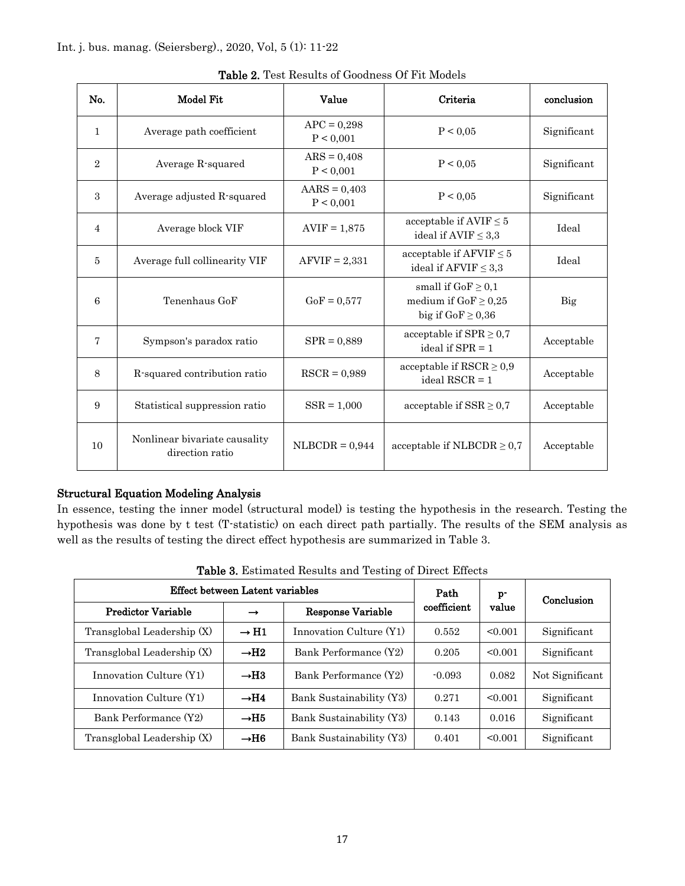| No.            | Model Fit                                        | Value                       | Criteria                                                                      | conclusion  |
|----------------|--------------------------------------------------|-----------------------------|-------------------------------------------------------------------------------|-------------|
| $\mathbf{1}$   | Average path coefficient                         | $APC = 0,298$<br>P < 0,001  | P < 0.05                                                                      | Significant |
| $\overline{2}$ | Average R-squared                                | $ARS = 0,408$<br>P < 0,001  | P < 0.05                                                                      | Significant |
| 3              | Average adjusted R-squared                       | $AARS = 0,403$<br>P < 0,001 | P < 0.05                                                                      | Significant |
| $\overline{4}$ | Average block VIF                                | $AVIF = 1,875$              | acceptable if $AVIF \leq 5$<br>ideal if $AVIF \leq 3.3$                       | Ideal       |
| 5              | Average full collinearity VIF                    | $AFVIF = 2,331$             | acceptable if $AFVIF \leq 5$<br>ideal if $A F VIF \leq 3.3$                   | Ideal       |
| 6              | Tenenhaus GoF                                    | $GoF = 0.577$               | small if $GoF \geq 0,1$<br>medium if $GoF \ge 0.25$<br>big if $GoF \geq 0.36$ | Big         |
| 7              | Sympson's paradox ratio                          | $SPR = 0.889$               | acceptable if $SPR \geq 0.7$<br>ideal if $SPR = 1$                            | Acceptable  |
| 8              | R-squared contribution ratio                     | $RSCR = 0,989$              | acceptable if $\text{RSCR} \geq 0.9$<br>ideal $RSCR = 1$                      | Acceptable  |
| 9              | Statistical suppression ratio                    | $SSR = 1,000$               | acceptable if $SSR \geq 0.7$                                                  | Acceptable  |
| 10             | Nonlinear bivariate causality<br>direction ratio | $NLBCDR = 0.944$            | acceptable if NLBCDR $\geq 0.7$                                               | Acceptable  |

Table 2. Test Results of Goodness Of Fit Models

## Structural Equation Modeling Analysis

In essence, testing the inner model (structural model) is testing the hypothesis in the research. Testing the hypothesis was done by t test (T-statistic) on each direct path partially. The results of the SEM analysis as well as the results of testing the direct effect hypothesis are summarized in Table 3.

| Effect between Latent variables |                              |                          | Path        | $\mathbf{p}$ | Conclusion      |  |
|---------------------------------|------------------------------|--------------------------|-------------|--------------|-----------------|--|
| <b>Predictor Variable</b>       | $\rightarrow$                | Response Variable        | coefficient | value        |                 |  |
| Transglobal Leadership (X)      | $\rightarrow$ H <sub>1</sub> | Innovation Culture (Y1)  | 0.552       | < 0.001      | Significant     |  |
| Transglobal Leadership (X)      | $\rightarrow$ H2             | Bank Performance (Y2)    | 0.205       | < 0.001      | Significant     |  |
| Innovation Culture (Y1)         | $\rightarrow$ H <sub>3</sub> | Bank Performance (Y2)    | $-0.093$    | 0.082        | Not Significant |  |
| Innovation Culture (Y1)         | $\rightarrow$ H4             | Bank Sustainability (Y3) | 0.271       | < 0.001      | Significant     |  |
| Bank Performance (Y2)           | $\rightarrow$ H5             | Bank Sustainability (Y3) | 0.143       | 0.016        | Significant     |  |
| Transglobal Leadership (X)      | $\rightarrow$ H6             | Bank Sustainability (Y3) | 0.401       | < 0.001      | Significant     |  |

Table 3. Estimated Results and Testing of Direct Effects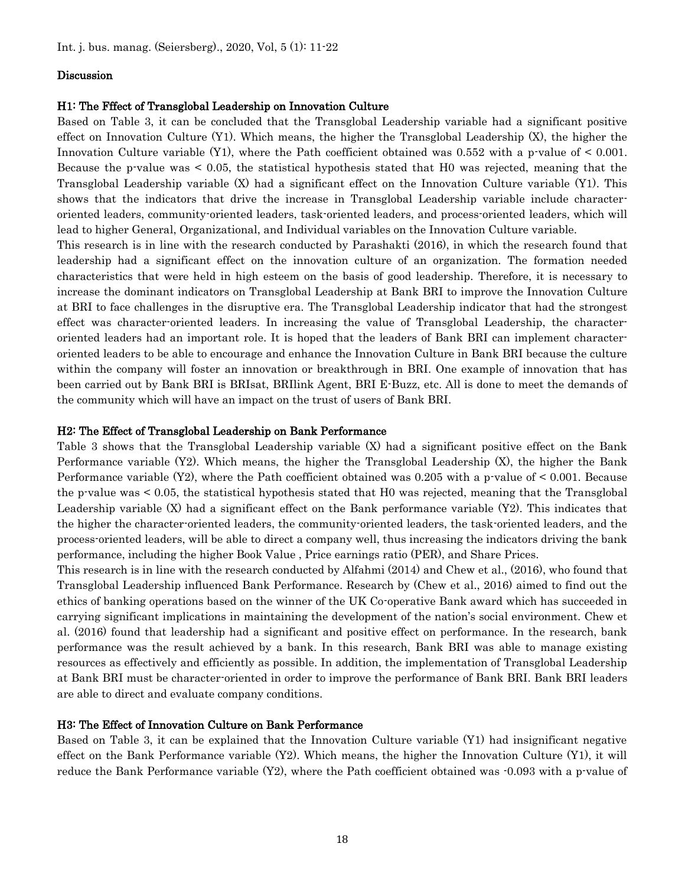#### Discussion

#### H1: The Fffect of Transglobal Leadership on Innovation Culture

Based on Table 3, it can be concluded that the Transglobal Leadership variable had a significant positive effect on Innovation Culture (Y1). Which means, the higher the Transglobal Leadership (X), the higher the Innovation Culture variable  $(Y1)$ , where the Path coefficient obtained was 0.552 with a p-value of  $\leq 0.001$ . Because the p-value was < 0.05, the statistical hypothesis stated that H0 was rejected, meaning that the Transglobal Leadership variable (X) had a significant effect on the Innovation Culture variable (Y1). This shows that the indicators that drive the increase in Transglobal Leadership variable include characteroriented leaders, community-oriented leaders, task-oriented leaders, and process-oriented leaders, which will lead to higher General, Organizational, and Individual variables on the Innovation Culture variable.

This research is in line with the research conducted by Parashakti (2016), in which the research found that leadership had a significant effect on the innovation culture of an organization. The formation needed characteristics that were held in high esteem on the basis of good leadership. Therefore, it is necessary to increase the dominant indicators on Transglobal Leadership at Bank BRI to improve the Innovation Culture at BRI to face challenges in the disruptive era. The Transglobal Leadership indicator that had the strongest effect was character-oriented leaders. In increasing the value of Transglobal Leadership, the characteroriented leaders had an important role. It is hoped that the leaders of Bank BRI can implement characteroriented leaders to be able to encourage and enhance the Innovation Culture in Bank BRI because the culture within the company will foster an innovation or breakthrough in BRI. One example of innovation that has been carried out by Bank BRI is BRIsat, BRIlink Agent, BRI E-Buzz, etc. All is done to meet the demands of the community which will have an impact on the trust of users of Bank BRI.

#### H2: The Effect of Transglobal Leadership on Bank Performance

Table 3 shows that the Transglobal Leadership variable (X) had a significant positive effect on the Bank Performance variable (Y2). Which means, the higher the Transglobal Leadership (X), the higher the Bank Performance variable (Y2), where the Path coefficient obtained was  $0.205$  with a p-value of  $\leq 0.001$ . Because the p-value was < 0.05, the statistical hypothesis stated that H0 was rejected, meaning that the Transglobal Leadership variable (X) had a significant effect on the Bank performance variable (Y2). This indicates that the higher the character-oriented leaders, the community-oriented leaders, the task-oriented leaders, and the process-oriented leaders, will be able to direct a company well, thus increasing the indicators driving the bank performance, including the higher Book Value , Price earnings ratio (PER), and Share Prices.

This research is in line with the research conducted by Alfahmi (2014) and Chew et al., (2016), who found that Transglobal Leadership influenced Bank Performance. Research by (Chew et al., 2016) aimed to find out the ethics of banking operations based on the winner of the UK Co-operative Bank award which has succeeded in carrying significant implications in maintaining the development of the nation's social environment. Chew et al. (2016) found that leadership had a significant and positive effect on performance. In the research, bank performance was the result achieved by a bank. In this research, Bank BRI was able to manage existing resources as effectively and efficiently as possible. In addition, the implementation of Transglobal Leadership at Bank BRI must be character-oriented in order to improve the performance of Bank BRI. Bank BRI leaders are able to direct and evaluate company conditions.

#### H3: The Effect of Innovation Culture on Bank Performance

Based on Table 3, it can be explained that the Innovation Culture variable (Y1) had insignificant negative effect on the Bank Performance variable (Y2). Which means, the higher the Innovation Culture (Y1), it will reduce the Bank Performance variable (Y2), where the Path coefficient obtained was -0.093 with a p-value of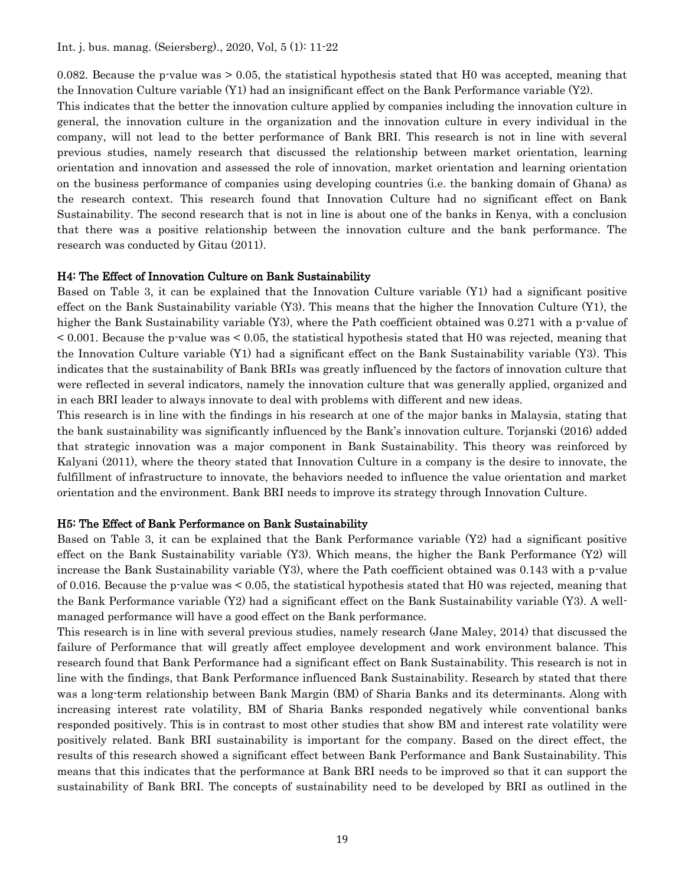0.082. Because the p-value was > 0.05, the statistical hypothesis stated that H0 was accepted, meaning that the Innovation Culture variable (Y1) had an insignificant effect on the Bank Performance variable (Y2).

This indicates that the better the innovation culture applied by companies including the innovation culture in general, the innovation culture in the organization and the innovation culture in every individual in the company, will not lead to the better performance of Bank BRI. This research is not in line with several previous studies, namely research that discussed the relationship between market orientation, learning orientation and innovation and assessed the role of innovation, market orientation and learning orientation on the business performance of companies using developing countries (i.e. the banking domain of Ghana) as the research context. This research found that Innovation Culture had no significant effect on Bank Sustainability. The second research that is not in line is about one of the banks in Kenya, with a conclusion that there was a positive relationship between the innovation culture and the bank performance. The research was conducted by Gitau (2011).

#### H4: The Effect of Innovation Culture on Bank Sustainability

Based on Table 3, it can be explained that the Innovation Culture variable (Y1) had a significant positive effect on the Bank Sustainability variable (Y3). This means that the higher the Innovation Culture (Y1), the higher the Bank Sustainability variable (Y3), where the Path coefficient obtained was 0.271 with a p-value of < 0.001. Because the p-value was < 0.05, the statistical hypothesis stated that H0 was rejected, meaning that the Innovation Culture variable (Y1) had a significant effect on the Bank Sustainability variable (Y3). This indicates that the sustainability of Bank BRIs was greatly influenced by the factors of innovation culture that were reflected in several indicators, namely the innovation culture that was generally applied, organized and in each BRI leader to always innovate to deal with problems with different and new ideas.

This research is in line with the findings in his research at one of the major banks in Malaysia, stating that the bank sustainability was significantly influenced by the Bank's innovation culture. Torjanski (2016) added that strategic innovation was a major component in Bank Sustainability. This theory was reinforced by Kalyani (2011), where the theory stated that Innovation Culture in a company is the desire to innovate, the fulfillment of infrastructure to innovate, the behaviors needed to influence the value orientation and market orientation and the environment. Bank BRI needs to improve its strategy through Innovation Culture.

#### H5: The Effect of Bank Performance on Bank Sustainability

Based on Table 3, it can be explained that the Bank Performance variable (Y2) had a significant positive effect on the Bank Sustainability variable (Y3). Which means, the higher the Bank Performance (Y2) will increase the Bank Sustainability variable (Y3), where the Path coefficient obtained was 0.143 with a p-value of 0.016. Because the p-value was < 0.05, the statistical hypothesis stated that H0 was rejected, meaning that the Bank Performance variable (Y2) had a significant effect on the Bank Sustainability variable (Y3). A wellmanaged performance will have a good effect on the Bank performance.

This research is in line with several previous studies, namely research (Jane Maley, 2014) that discussed the failure of Performance that will greatly affect employee development and work environment balance. This research found that Bank Performance had a significant effect on Bank Sustainability. This research is not in line with the findings, that Bank Performance influenced Bank Sustainability. Research by stated that there was a long-term relationship between Bank Margin (BM) of Sharia Banks and its determinants. Along with increasing interest rate volatility, BM of Sharia Banks responded negatively while conventional banks responded positively. This is in contrast to most other studies that show BM and interest rate volatility were positively related. Bank BRI sustainability is important for the company. Based on the direct effect, the results of this research showed a significant effect between Bank Performance and Bank Sustainability. This means that this indicates that the performance at Bank BRI needs to be improved so that it can support the sustainability of Bank BRI. The concepts of sustainability need to be developed by BRI as outlined in the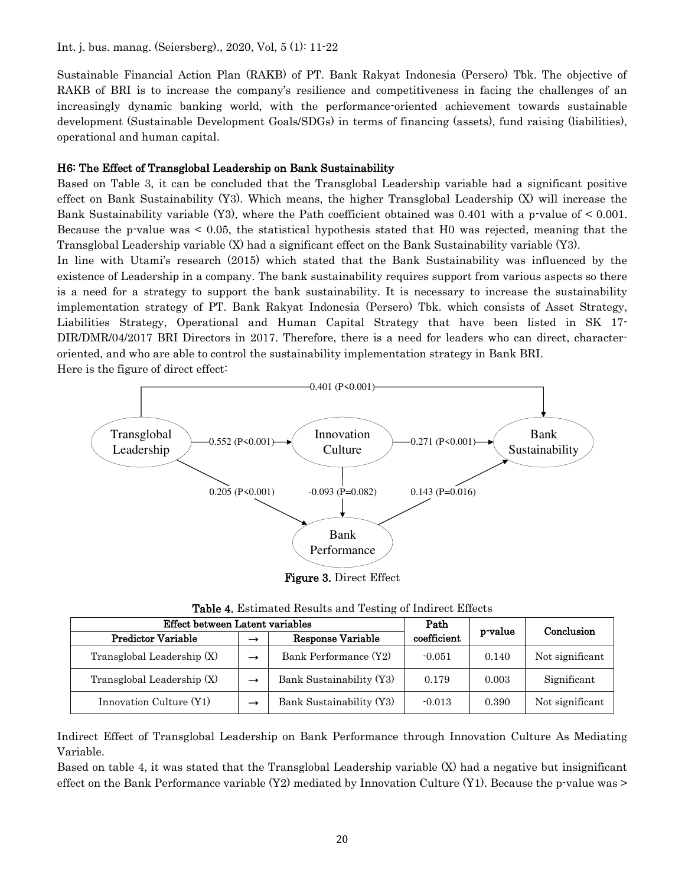Sustainable Financial Action Plan (RAKB) of PT. Bank Rakyat Indonesia (Persero) Tbk. The objective of RAKB of BRI is to increase the company's resilience and competitiveness in facing the challenges of an increasingly dynamic banking world, with the performance-oriented achievement towards sustainable development (Sustainable Development Goals/SDGs) in terms of financing (assets), fund raising (liabilities), operational and human capital.

#### H6: The Effect of Transglobal Leadership on Bank Sustainability

Based on Table 3, it can be concluded that the Transglobal Leadership variable had a significant positive effect on Bank Sustainability (Y3). Which means, the higher Transglobal Leadership (X) will increase the Bank Sustainability variable (Y3), where the Path coefficient obtained was 0.401 with a p-value of  $\leq 0.001$ . Because the p-value was < 0.05, the statistical hypothesis stated that H0 was rejected, meaning that the Transglobal Leadership variable (X) had a significant effect on the Bank Sustainability variable (Y3).

In line with Utami's research (2015) which stated that the Bank Sustainability was influenced by the existence of Leadership in a company. The bank sustainability requires support from various aspects so there is a need for a strategy to support the bank sustainability. It is necessary to increase the sustainability implementation strategy of PT. Bank Rakyat Indonesia (Persero) Tbk. which consists of Asset Strategy, Liabilities Strategy, Operational and Human Capital Strategy that have been listed in SK 17- DIR/DMR/04/2017 BRI Directors in 2017. Therefore, there is a need for leaders who can direct, characteroriented, and who are able to control the sustainability implementation strategy in Bank BRI. Here is the figure of direct effect:



Figure 3. Direct Effect

| <b>Table 4.</b> Estimated Results and Testing of Indirect Effects |  |
|-------------------------------------------------------------------|--|
|-------------------------------------------------------------------|--|

| Effect between Latent variables |               |                          | Path        | p-value | Conclusion      |
|---------------------------------|---------------|--------------------------|-------------|---------|-----------------|
| <b>Predictor Variable</b>       | $\rightarrow$ | Response Variable        | coefficient |         |                 |
| Transglobal Leadership (X)      | $\rightarrow$ | Bank Performance (Y2)    | $-0.051$    | 0.140   | Not significant |
| Transglobal Leadership (X)      | $\rightarrow$ | Bank Sustainability (Y3) | 0.179       | 0.003   | Significant     |
| Innovation Culture (Y1)         | $\rightarrow$ | Bank Sustainability (Y3) | $-0.013$    | 0.390   | Not significant |

Indirect Effect of Transglobal Leadership on Bank Performance through Innovation Culture As Mediating Variable.

Based on table 4, it was stated that the Transglobal Leadership variable (X) had a negative but insignificant effect on the Bank Performance variable  $(Y2)$  mediated by Innovation Culture  $(Y1)$ . Because the p-value was  $\geq$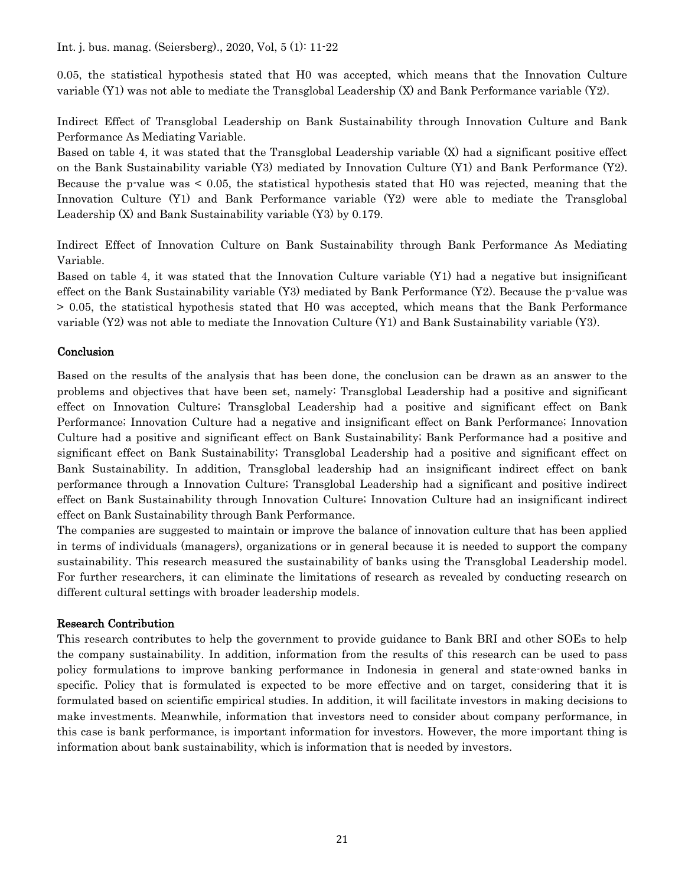0.05, the statistical hypothesis stated that H0 was accepted, which means that the Innovation Culture variable (Y1) was not able to mediate the Transglobal Leadership (X) and Bank Performance variable (Y2).

Indirect Effect of Transglobal Leadership on Bank Sustainability through Innovation Culture and Bank Performance As Mediating Variable.

Based on table 4, it was stated that the Transglobal Leadership variable (X) had a significant positive effect on the Bank Sustainability variable (Y3) mediated by Innovation Culture (Y1) and Bank Performance (Y2). Because the p-value was < 0.05, the statistical hypothesis stated that H0 was rejected, meaning that the Innovation Culture (Y1) and Bank Performance variable (Y2) were able to mediate the Transglobal Leadership (X) and Bank Sustainability variable (Y3) by 0.179.

Indirect Effect of Innovation Culture on Bank Sustainability through Bank Performance As Mediating Variable.

Based on table 4, it was stated that the Innovation Culture variable (Y1) had a negative but insignificant effect on the Bank Sustainability variable  $(Y3)$  mediated by Bank Performance  $(Y2)$ . Because the p-value was > 0.05, the statistical hypothesis stated that H0 was accepted, which means that the Bank Performance variable (Y2) was not able to mediate the Innovation Culture (Y1) and Bank Sustainability variable (Y3).

#### Conclusion

Based on the results of the analysis that has been done, the conclusion can be drawn as an answer to the problems and objectives that have been set, namely: Transglobal Leadership had a positive and significant effect on Innovation Culture; Transglobal Leadership had a positive and significant effect on Bank Performance; Innovation Culture had a negative and insignificant effect on Bank Performance; Innovation Culture had a positive and significant effect on Bank Sustainability; Bank Performance had a positive and significant effect on Bank Sustainability; Transglobal Leadership had a positive and significant effect on Bank Sustainability. In addition, Transglobal leadership had an insignificant indirect effect on bank performance through a Innovation Culture; Transglobal Leadership had a significant and positive indirect effect on Bank Sustainability through Innovation Culture; Innovation Culture had an insignificant indirect effect on Bank Sustainability through Bank Performance.

The companies are suggested to maintain or improve the balance of innovation culture that has been applied in terms of individuals (managers), organizations or in general because it is needed to support the company sustainability. This research measured the sustainability of banks using the Transglobal Leadership model. For further researchers, it can eliminate the limitations of research as revealed by conducting research on different cultural settings with broader leadership models.

#### Research Contribution

This research contributes to help the government to provide guidance to Bank BRI and other SOEs to help the company sustainability. In addition, information from the results of this research can be used to pass policy formulations to improve banking performance in Indonesia in general and state-owned banks in specific. Policy that is formulated is expected to be more effective and on target, considering that it is formulated based on scientific empirical studies. In addition, it will facilitate investors in making decisions to make investments. Meanwhile, information that investors need to consider about company performance, in this case is bank performance, is important information for investors. However, the more important thing is information about bank sustainability, which is information that is needed by investors.